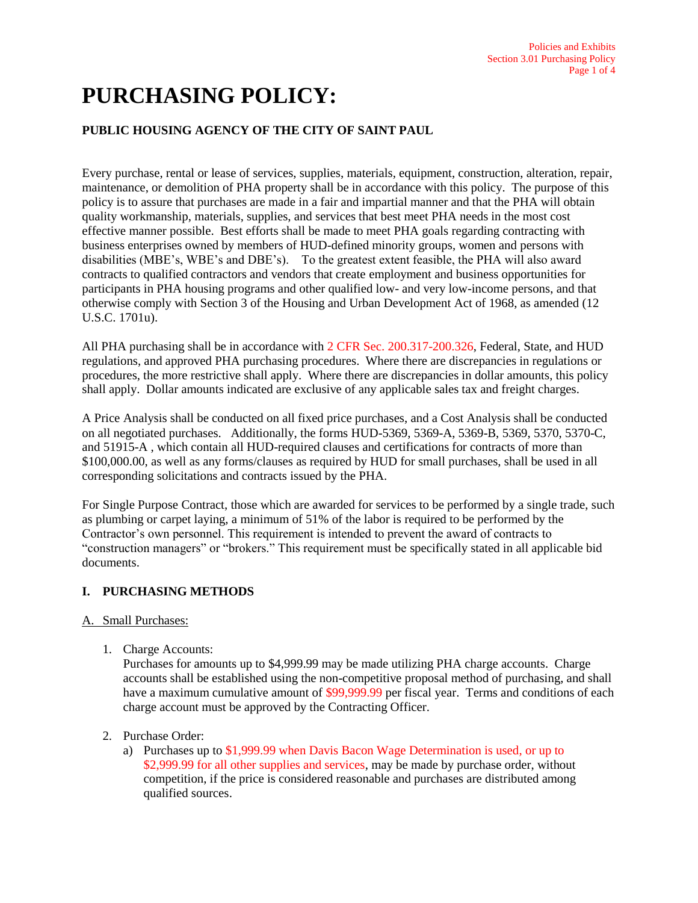# **PURCHASING POLICY:**

# **PUBLIC HOUSING AGENCY OF THE CITY OF SAINT PAUL**

Every purchase, rental or lease of services, supplies, materials, equipment, construction, alteration, repair, maintenance, or demolition of PHA property shall be in accordance with this policy. The purpose of this policy is to assure that purchases are made in a fair and impartial manner and that the PHA will obtain quality workmanship, materials, supplies, and services that best meet PHA needs in the most cost effective manner possible. Best efforts shall be made to meet PHA goals regarding contracting with business enterprises owned by members of HUD-defined minority groups, women and persons with disabilities (MBE's, WBE's and DBE's). To the greatest extent feasible, the PHA will also award contracts to qualified contractors and vendors that create employment and business opportunities for participants in PHA housing programs and other qualified low- and very low-income persons, and that otherwise comply with Section 3 of the Housing and Urban Development Act of 1968, as amended (12 U.S.C. 1701u).

All PHA purchasing shall be in accordance with 2 CFR Sec. 200.317-200.326, Federal, State, and HUD regulations, and approved PHA purchasing procedures. Where there are discrepancies in regulations or procedures, the more restrictive shall apply. Where there are discrepancies in dollar amounts, this policy shall apply. Dollar amounts indicated are exclusive of any applicable sales tax and freight charges.

A Price Analysis shall be conducted on all fixed price purchases, and a Cost Analysis shall be conducted on all negotiated purchases. Additionally, the forms HUD-5369, 5369-A, 5369-B, 5369, 5370, 5370-C, and 51915-A , which contain all HUD-required clauses and certifications for contracts of more than \$100,000.00, as well as any forms/clauses as required by HUD for small purchases, shall be used in all corresponding solicitations and contracts issued by the PHA.

For Single Purpose Contract, those which are awarded for services to be performed by a single trade, such as plumbing or carpet laying, a minimum of 51% of the labor is required to be performed by the Contractor's own personnel. This requirement is intended to prevent the award of contracts to "construction managers" or "brokers." This requirement must be specifically stated in all applicable bid documents.

# **I. PURCHASING METHODS**

# A. Small Purchases:

1. Charge Accounts:

Purchases for amounts up to \$4,999.99 may be made utilizing PHA charge accounts. Charge accounts shall be established using the non-competitive proposal method of purchasing, and shall have a maximum cumulative amount of \$99,999.99 per fiscal year. Terms and conditions of each charge account must be approved by the Contracting Officer.

- 2. Purchase Order:
	- a) Purchases up to \$1,999.99 when Davis Bacon Wage Determination is used, or up to \$2,999.99 for all other supplies and services, may be made by purchase order, without competition, if the price is considered reasonable and purchases are distributed among qualified sources.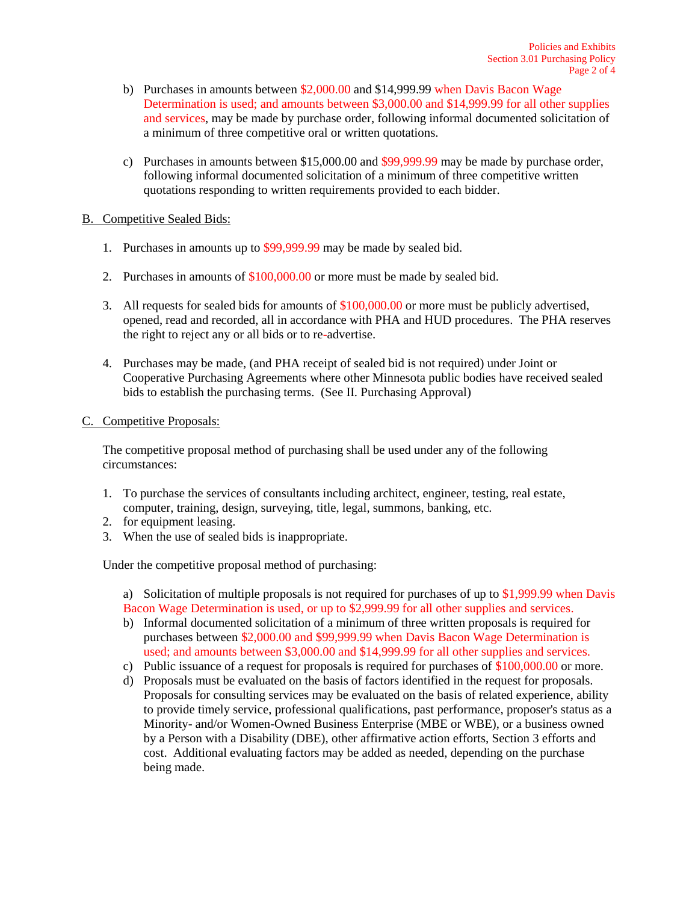- b) Purchases in amounts between \$2,000.00 and \$14,999.99 when Davis Bacon Wage Determination is used; and amounts between \$3,000.00 and \$14,999.99 for all other supplies and services, may be made by purchase order, following informal documented solicitation of a minimum of three competitive oral or written quotations.
- c) Purchases in amounts between \$15,000.00 and \$99,999.99 may be made by purchase order, following informal documented solicitation of a minimum of three competitive written quotations responding to written requirements provided to each bidder.

## B. Competitive Sealed Bids:

- 1. Purchases in amounts up to \$99,999.99 may be made by sealed bid.
- 2. Purchases in amounts of \$100,000.00 or more must be made by sealed bid.
- 3. All requests for sealed bids for amounts of \$100,000.00 or more must be publicly advertised, opened, read and recorded, all in accordance with PHA and HUD procedures. The PHA reserves the right to reject any or all bids or to re-advertise.
- 4. Purchases may be made, (and PHA receipt of sealed bid is not required) under Joint or Cooperative Purchasing Agreements where other Minnesota public bodies have received sealed bids to establish the purchasing terms. (See II. Purchasing Approval)

## C. Competitive Proposals:

The competitive proposal method of purchasing shall be used under any of the following circumstances:

- 1. To purchase the services of consultants including architect, engineer, testing, real estate, computer, training, design, surveying, title, legal, summons, banking, etc.
- 2. for equipment leasing.
- 3. When the use of sealed bids is inappropriate.

Under the competitive proposal method of purchasing:

a) Solicitation of multiple proposals is not required for purchases of up to \$1,999.99 when Davis Bacon Wage Determination is used, or up to \$2,999.99 for all other supplies and services.

- b) Informal documented solicitation of a minimum of three written proposals is required for purchases between \$2,000.00 and \$99,999.99 when Davis Bacon Wage Determination is used; and amounts between \$3,000.00 and \$14,999.99 for all other supplies and services.
- c) Public issuance of a request for proposals is required for purchases of \$100,000.00 or more.
- d) Proposals must be evaluated on the basis of factors identified in the request for proposals. Proposals for consulting services may be evaluated on the basis of related experience, ability to provide timely service, professional qualifications, past performance, proposer's status as a Minority- and/or Women-Owned Business Enterprise (MBE or WBE), or a business owned by a Person with a Disability (DBE), other affirmative action efforts, Section 3 efforts and cost. Additional evaluating factors may be added as needed, depending on the purchase being made.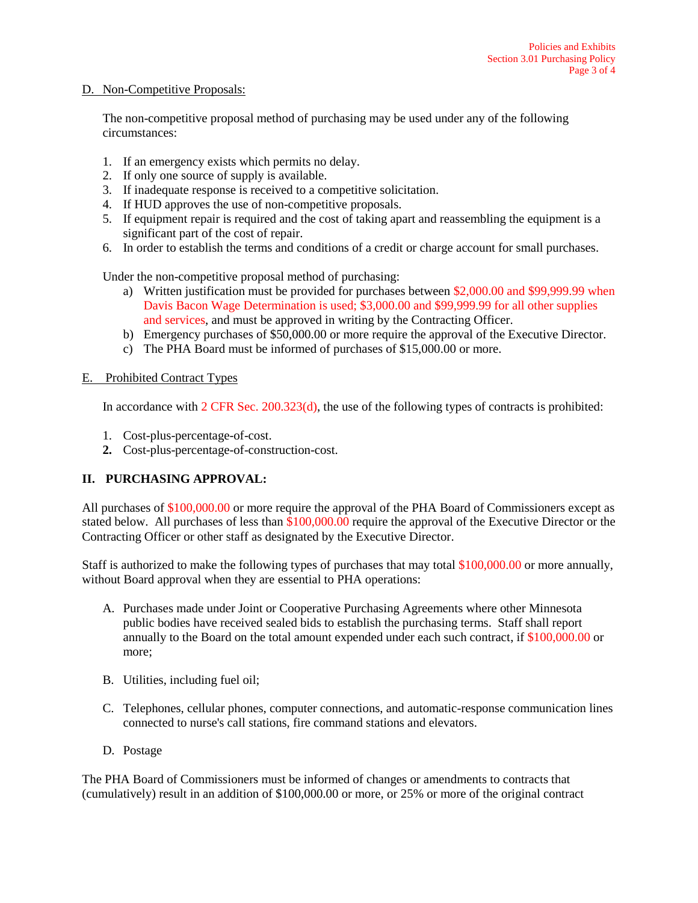#### D. Non-Competitive Proposals:

The non-competitive proposal method of purchasing may be used under any of the following circumstances:

- 1. If an emergency exists which permits no delay.
- 2. If only one source of supply is available.
- 3. If inadequate response is received to a competitive solicitation.
- 4. If HUD approves the use of non-competitive proposals.
- 5. If equipment repair is required and the cost of taking apart and reassembling the equipment is a significant part of the cost of repair.
- 6. In order to establish the terms and conditions of a credit or charge account for small purchases.

Under the non-competitive proposal method of purchasing:

- a) Written justification must be provided for purchases between \$2,000.00 and \$99,999.99 when Davis Bacon Wage Determination is used; \$3,000.00 and \$99,999.99 for all other supplies and services, and must be approved in writing by the Contracting Officer.
- b) Emergency purchases of \$50,000.00 or more require the approval of the Executive Director.
- c) The PHA Board must be informed of purchases of \$15,000.00 or more.

#### E. Prohibited Contract Types

In accordance with 2 CFR Sec. 200.323(d), the use of the following types of contracts is prohibited:

- 1. Cost-plus-percentage-of-cost.
- **2.** Cost-plus-percentage-of-construction-cost.

# **II. PURCHASING APPROVAL:**

All purchases of \$100,000.00 or more require the approval of the PHA Board of Commissioners except as stated below. All purchases of less than \$100,000.00 require the approval of the Executive Director or the Contracting Officer or other staff as designated by the Executive Director.

Staff is authorized to make the following types of purchases that may total \$100,000.00 or more annually, without Board approval when they are essential to PHA operations:

- A. Purchases made under Joint or Cooperative Purchasing Agreements where other Minnesota public bodies have received sealed bids to establish the purchasing terms. Staff shall report annually to the Board on the total amount expended under each such contract, if \$100,000.00 or more;
- B. Utilities, including fuel oil;
- C. Telephones, cellular phones, computer connections, and automatic-response communication lines connected to nurse's call stations, fire command stations and elevators.
- D. Postage

The PHA Board of Commissioners must be informed of changes or amendments to contracts that (cumulatively) result in an addition of \$100,000.00 or more, or 25% or more of the original contract